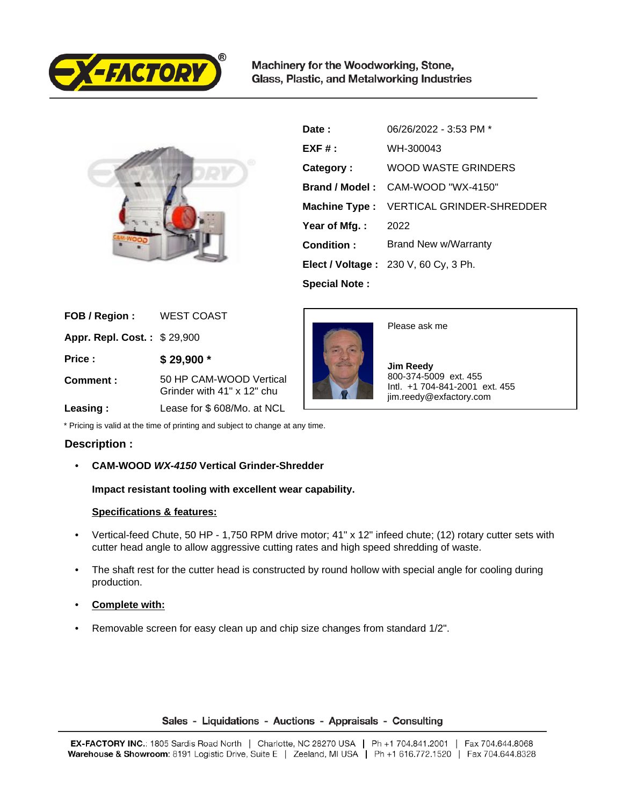

Machinery for the Woodworking, Stone, Glass, Plastic, and Metalworking Industries



| Date:                | 06/26/2022 - 3:53 PM *                   |
|----------------------|------------------------------------------|
| $EXF#$ :             | WH-300043                                |
| Category:            | WOOD WASTE GRINDERS                      |
|                      | Brand / Model: CAM-WOOD "WX-4150"        |
|                      | Machine Type : VERTICAL GRINDER-SHREDDER |
| Year of Mfg.:        | 2022                                     |
| Condition:           | Brand New w/Warranty                     |
|                      | Elect / Voltage: 230 V, 60 Cy, 3 Ph.     |
| <b>Special Note:</b> |                                          |

| FOB / Region :                     | <b>WEST COAST</b>                                     |
|------------------------------------|-------------------------------------------------------|
| <b>Appr. Repl. Cost.: \$29,900</b> |                                                       |
| Price:                             | \$29,900 *                                            |
| Comment:                           | 50 HP CAM-WOOD Vertical<br>Grinder with 41" x 12" chu |
|                                    |                                                       |



Please ask me

 **Jim Reedy** 800-374-5009 ext. 455 Intl. +1 704-841-2001 ext. 455 jim.reedy@exfactory.com

 **Leasing :** Lease for \$ 608/Mo. at NCL

\* Pricing is valid at the time of printing and subject to change at any time.

## **Description :**

• **CAM-WOOD WX-4150 Vertical Grinder-Shredder**

**Impact resistant tooling with excellent wear capability.** 

## **Specifications & features:**

- Vertical-feed Chute, 50 HP 1,750 RPM drive motor; 41" x 12" infeed chute; (12) rotary cutter sets with cutter head angle to allow aggressive cutting rates and high speed shredding of waste.
- The shaft rest for the cutter head is constructed by round hollow with special angle for cooling during production.
- **Complete with:**
- Removable screen for easy clean up and chip size changes from standard 1/2".

## Sales - Liquidations - Auctions - Appraisals - Consulting